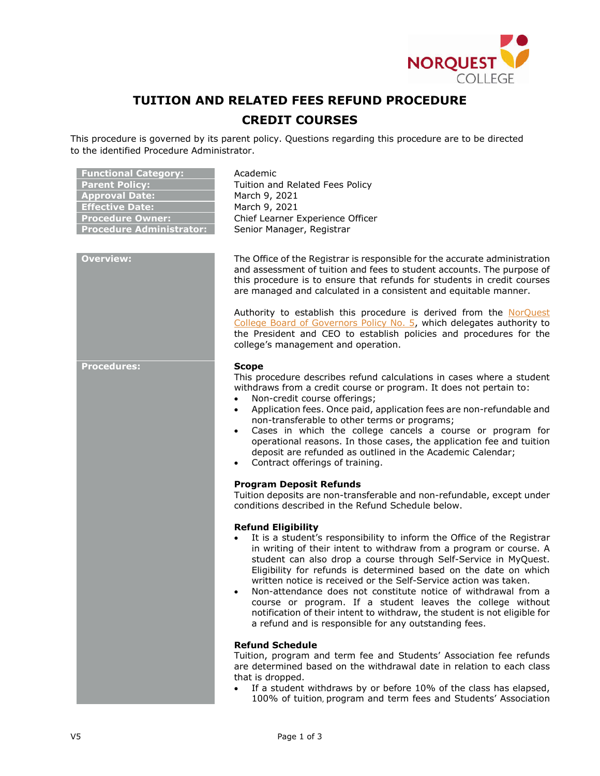

## **TUITION AND RELATED FEES REFUND PROCEDURE**

## **CREDIT COURSES**

This procedure is governed by its parent policy. Questions regarding this procedure are to be directed to the identified Procedure Administrator.

| <b>Functional Category:</b><br><b>Parent Policy:</b><br><b>Approval Date:</b><br><b>Effective Date:</b><br><b>Procedure Owner:</b><br><b>Procedure Administrator:</b> | Academic<br>Tuition and Related Fees Policy<br>March 9, 2021<br>March 9, 2021<br>Chief Learner Experience Officer<br>Senior Manager, Registrar                                                                                                                                                                                                                                                                                                                                                                                                                                                                                                                                                                   |
|-----------------------------------------------------------------------------------------------------------------------------------------------------------------------|------------------------------------------------------------------------------------------------------------------------------------------------------------------------------------------------------------------------------------------------------------------------------------------------------------------------------------------------------------------------------------------------------------------------------------------------------------------------------------------------------------------------------------------------------------------------------------------------------------------------------------------------------------------------------------------------------------------|
| <b>Overview:</b>                                                                                                                                                      | The Office of the Registrar is responsible for the accurate administration<br>and assessment of tuition and fees to student accounts. The purpose of<br>this procedure is to ensure that refunds for students in credit courses<br>are managed and calculated in a consistent and equitable manner.                                                                                                                                                                                                                                                                                                                                                                                                              |
|                                                                                                                                                                       | Authority to establish this procedure is derived from the NorQuest<br>College Board of Governors Policy No. 5, which delegates authority to<br>the President and CEO to establish policies and procedures for the<br>college's management and operation.                                                                                                                                                                                                                                                                                                                                                                                                                                                         |
| <b>Procedures:</b>                                                                                                                                                    | <b>Scope</b><br>This procedure describes refund calculations in cases where a student<br>withdraws from a credit course or program. It does not pertain to:<br>Non-credit course offerings;<br>$\bullet$<br>Application fees. Once paid, application fees are non-refundable and<br>$\bullet$<br>non-transferable to other terms or programs;<br>Cases in which the college cancels a course or program for<br>operational reasons. In those cases, the application fee and tuition<br>deposit are refunded as outlined in the Academic Calendar;<br>Contract offerings of training.<br><b>Program Deposit Refunds</b><br>Tuition deposits are non-transferable and non-refundable, except under                 |
|                                                                                                                                                                       | conditions described in the Refund Schedule below.<br><b>Refund Eligibility</b><br>It is a student's responsibility to inform the Office of the Registrar<br>in writing of their intent to withdraw from a program or course. A<br>student can also drop a course through Self-Service in MyQuest.<br>Eligibility for refunds is determined based on the date on which<br>written notice is received or the Self-Service action was taken.<br>Non-attendance does not constitute notice of withdrawal from a<br>course or program. If a student leaves the college without<br>notification of their intent to withdraw, the student is not eligible for<br>a refund and is responsible for any outstanding fees. |
|                                                                                                                                                                       | <b>Refund Schedule</b><br>Tuition, program and term fee and Students' Association fee refunds<br>are determined based on the withdrawal date in relation to each class<br>that is dropped.<br>If a student withdraws by or before 10% of the class has elapsed,<br>$\bullet$<br>100% of tuition, program and term fees and Students' Association                                                                                                                                                                                                                                                                                                                                                                 |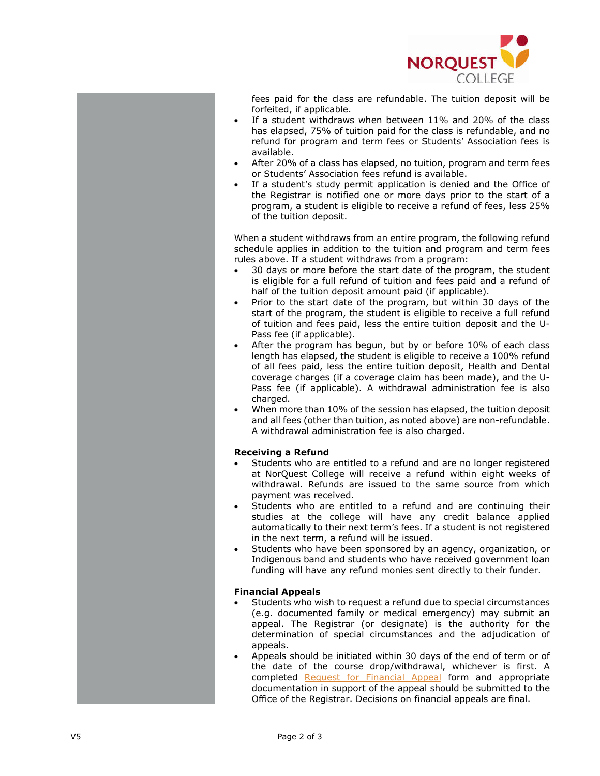

fees paid for the class are refundable. The tuition deposit will be forfeited, if applicable.

- $\bullet$ If a student withdraws when between 1 1% and 20% of the class has elapsed, 75% of tuition paid for the class is refundable, and no refund for program and term fees or Students' Association fees is available.
- After 20% of a class has elapsed, no tuition, program and term fees or Students' Association fee s refund is available.
- If a student's study permit application is denied and the Office of the Registrar is notified one or more days prior to the start of a program, a student is eligible to receive a refund of fees, less 25% of the tuition deposit.

When a student withdraws from an entire program, the following refund schedule applies in addition to the tuition and program and term fees rules above. If a student withdraws from a program :

- 30 days or more before the start date of the program, the student is eligible for a full refund of tuition and fees paid and a refund of half of the tuition deposit amount paid (if applicable).
- $\bullet$ Prior to the start date of the program, but within 30 days of the start of the program, the student is eligible to receive a full refund of tuition and fees paid, less the entire tuition deposit and the U - Pass fee (if applicable).
- $\bullet$ After the program has begun, but by or before 10% of each class length has elapsed, the student is eligible to receive a 100% refund of all fees paid, less the entire tuition deposit, Health and Dental coverage charges (if a coverage claim has been made), and the U - Pass fee (if applicable). A withdrawal administration fee is also charged.
- $\bullet$ When more than 10% of the session has elapsed, the tuition deposit and all fees (other than tuition, as noted above) are non -refundable. A withdrawal administration fee is also charged.

## **Receiving a Refund**

- Students who are entitled to a refund and are no longer registered at NorQuest College will receive a refund within eight weeks of withdrawal. Refunds are issued to the same source from which payment was received.
- Students who are entitled to a refund and are continuing their studies at the college will have any credit balance applied automatically to their next term's fees. If a student is not registered in the next term, a refund will be issued.
- Students who have been sponsored by an agency, organization, or Indigenous band and students who have received government loan funding will have any refund monies sent directly to their funder.

## **Financial Appeals**

- Students who wish to request a refund due to special circumstances (e.g. documented family or medical emergency) may submit an appeal. The Registrar (or designate) is the authority for the determination of special circumstances and the adjudication of appeals.
- Appeals should be initiated within 30 days of the end of term or of the date of the course drop /withdrawal, whichever is first. A completed Request for Financial Appeal form and appropriate documentation in support of the appeal should be submitted to the Office of the Registrar. Decisions on financi al appeals are final.